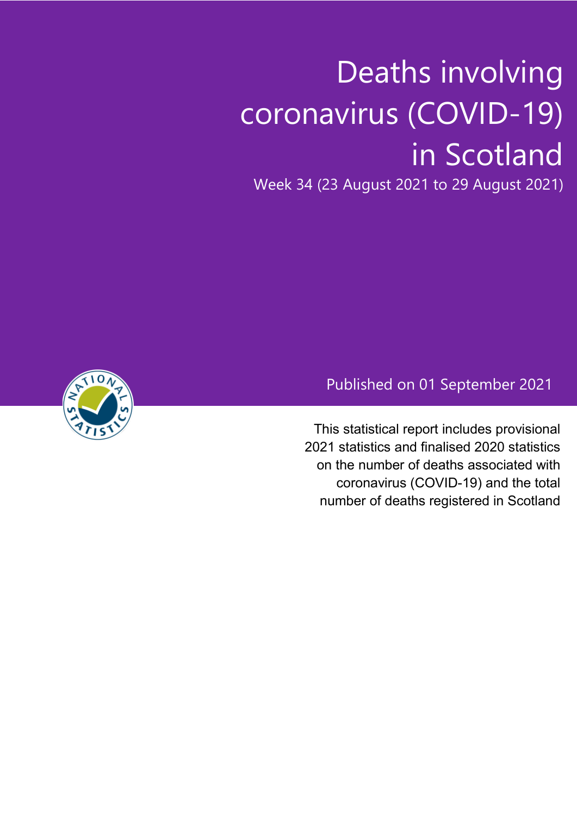# Deaths involving coronavirus (COVID-19) in Scotland

Week 34 (23 August 2021 to 29 August 2021)



# Published on 01 September 2021

This statistical report includes provisional 2021 statistics and finalised 2020 statistics on the number of deaths associated with coronavirus (COVID-19) and the total number of deaths registered in Scotland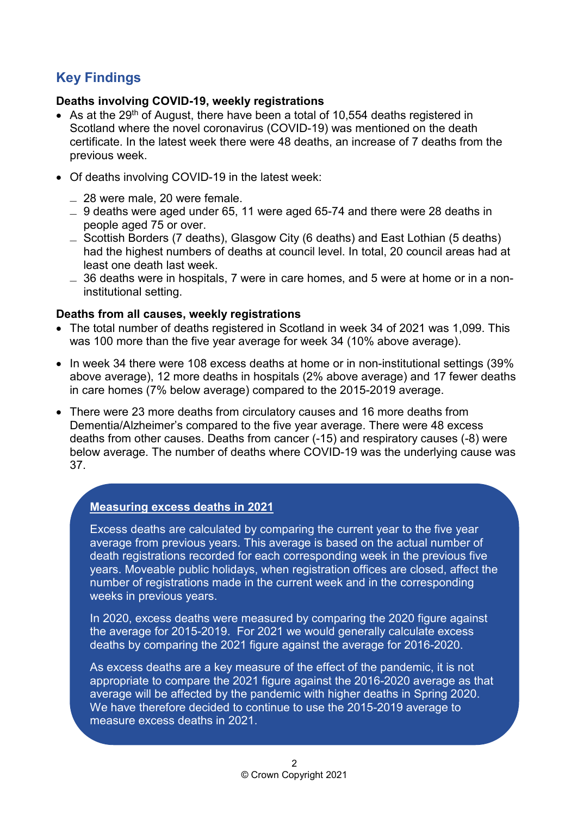## **Key Findings**

### **Deaths involving COVID-19, weekly registrations**

- As at the 29<sup>th</sup> of August, there have been a total of 10,554 deaths registered in Scotland where the novel coronavirus (COVID-19) was mentioned on the death certificate. In the latest week there were 48 deaths, an increase of 7 deaths from the previous week.
- Of deaths involving COVID-19 in the latest week:
	- ̶ 28 were male, 20 were female.
	- $\sim$  9 deaths were aged under 65, 11 were aged 65-74 and there were 28 deaths in people aged 75 or over.
	- ̶ Scottish Borders (7 deaths), Glasgow City (6 deaths) and East Lothian (5 deaths) had the highest numbers of deaths at council level. In total, 20 council areas had at least one death last week.
	- $\sim$  36 deaths were in hospitals, 7 were in care homes, and 5 were at home or in a noninstitutional setting.

#### **Deaths from all causes, weekly registrations**

- The total number of deaths registered in Scotland in week 34 of 2021 was 1,099. This was 100 more than the five year average for week 34 (10% above average).
- In week 34 there were 108 excess deaths at home or in non-institutional settings (39% above average), 12 more deaths in hospitals (2% above average) and 17 fewer deaths in care homes (7% below average) compared to the 2015-2019 average.
- There were 23 more deaths from circulatory causes and 16 more deaths from Dementia/Alzheimer's compared to the five year average. There were 48 excess deaths from other causes. Deaths from cancer (-15) and respiratory causes (-8) were below average. The number of deaths where COVID-19 was the underlying cause was 37.

## **Measuring excess deaths in 2021**

Excess deaths are calculated by comparing the current year to the five year average from previous years. This average is based on the actual number of death registrations recorded for each corresponding week in the previous five years. Moveable public holidays, when registration offices are closed, affect the number of registrations made in the current week and in the corresponding weeks in previous years.

In 2020, excess deaths were measured by comparing the 2020 figure against the average for 2015-2019. For 2021 we would generally calculate excess deaths by comparing the 2021 figure against the average for 2016-2020.

As excess deaths are a key measure of the effect of the pandemic, it is not appropriate to compare the 2021 figure against the 2016-2020 average as that average will be affected by the pandemic with higher deaths in Spring 2020. We have therefore decided to continue to use the 2015-2019 average to measure excess deaths in 2021.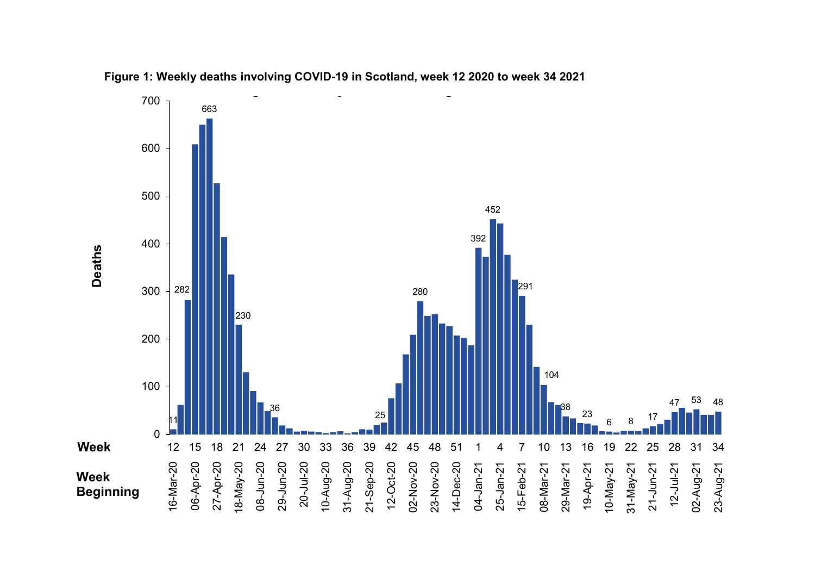

**Figure 1: Weekly deaths involving COVID-19 in Scotland, week 12 2020 to week 34 2021**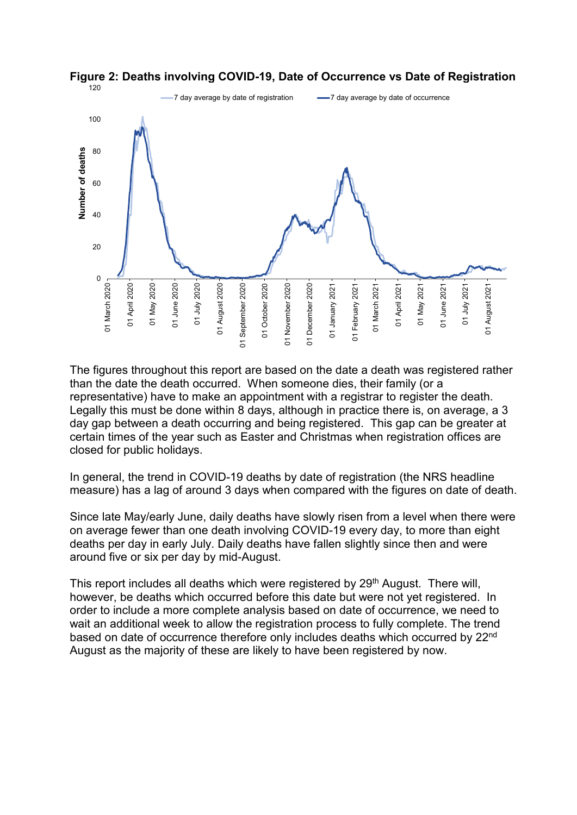



The figures throughout this report are based on the date a death was registered rather than the date the death occurred. When someone dies, their family (or a representative) have to make an appointment with a registrar to register the death. Legally this must be done within 8 days, although in practice there is, on average, a 3 day gap between a death occurring and being registered. This gap can be greater at certain times of the year such as Easter and Christmas when registration offices are closed for public holidays.

In general, the trend in COVID-19 deaths by date of registration (the NRS headline measure) has a lag of around 3 days when compared with the figures on date of death.

Since late May/early June, daily deaths have slowly risen from a level when there were on average fewer than one death involving COVID-19 every day, to more than eight deaths per day in early July. Daily deaths have fallen slightly since then and were around five or six per day by mid-August.

This report includes all deaths which were registered by 29<sup>th</sup> August. There will, however, be deaths which occurred before this date but were not yet registered. In order to include a more complete analysis based on date of occurrence, we need to wait an additional week to allow the registration process to fully complete. The trend based on date of occurrence therefore only includes deaths which occurred by 22nd August as the majority of these are likely to have been registered by now.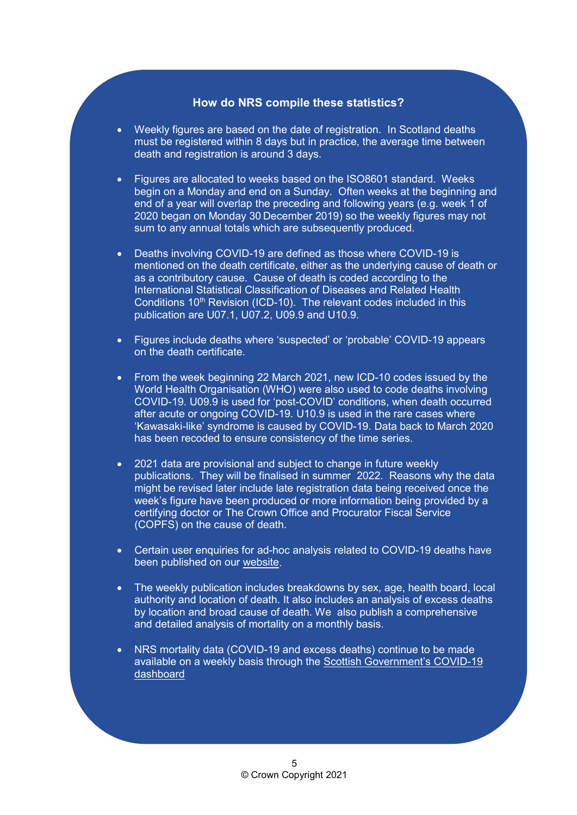#### **How do NRS compile these statistics?**

- Weekly figures are based on the date of registration. In Scotland deaths must be registered within 8 days but in practice, the average time between death and registration is around 3 days.
- Figures are allocated to weeks based on the ISO8601 standard. Weeks begin on a Monday and end on a Sunday. Often weeks at the beginning and end of a year will overlap the preceding and following years (e.g. week 1 of 2020 began on Monday 30 December 2019) so the weekly figures may not sum to any annual totals which are subsequently produced.
- Deaths involving COVID-19 are defined as those where COVID-19 is mentioned on the death certificate, either as the underlying cause of death or as a contributory cause. Cause of death is coded according to the International Statistical Classification of Diseases and Related Health Conditions 10<sup>th</sup> Revision (ICD-10). The relevant codes included in this publication are U07.1, U07.2, U09.9 and U10.9.
- Figures include deaths where 'suspected' or 'probable' COVID-19 appears on the death certificate.
- From the week beginning 22 March 2021, new ICD-10 codes issued by the World Health Organisation (WHO) were also used to code deaths involving COVID-19. U09.9 is used for 'post-COVID' conditions, when death occurred after acute or ongoing COVID-19. U10.9 is used in the rare cases where 'Kawasaki-like' syndrome is caused by COVID-19. Data back to March 2020 has been recoded to ensure consistency of the time series.
- 2021 data are provisional and subject to change in future weekly publications. They will be finalised in summer 2022. Reasons why the data might be revised later include late registration data being received once the week's figure have been produced or more information being provided by a certifying doctor or The Crown Office and Procurator Fiscal Service (COPFS) on the cause of death.
- Certain user enquiries for ad-hoc analysis related to COVID-19 deaths have been published on our [website.](https://www.nrscotland.gov.uk/statistics-and-data/statistics/statistics-by-theme/vital-events/general-publications/weekly-and-monthly-data-on-births-and-deaths/deaths-involving-coronavirus-covid-19-in-scotland/related-statistics)
- The weekly publication includes breakdowns by sex, age, health board, local authority and location of death. It also includes an analysis of excess deaths by location and broad cause of death. We also publish a comprehensive and detailed analysis of mortality on a monthly basis.
- NRS mortality data (COVID-19 and excess deaths) continue to be made available on a weekly basis through the [Scottish Government's COVID-19](https://data.gov.scot/coronavirus-covid-19/)  [dashboard](https://data.gov.scot/coronavirus-covid-19/)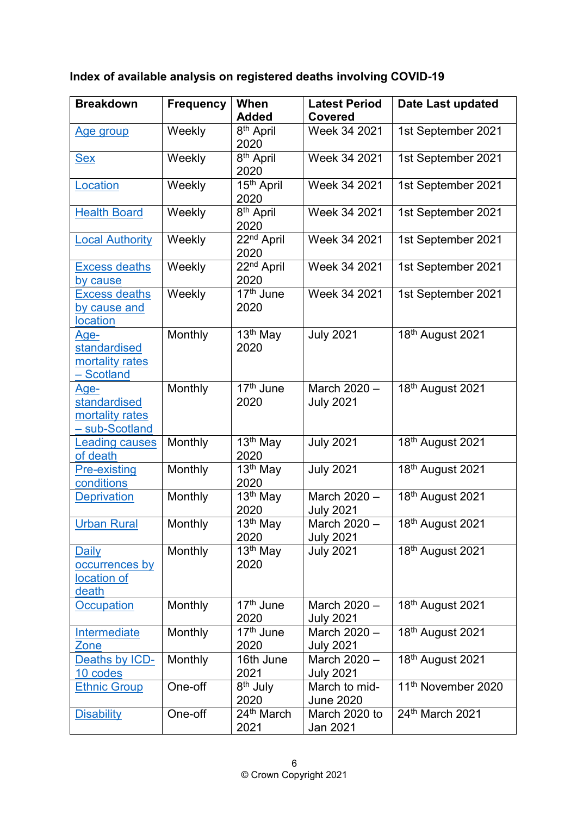**Index of available analysis on registered deaths involving COVID-19**

| <b>Breakdown</b>                                                 | <b>Frequency</b> | When                                       | <b>Latest Period</b>              | Date Last updated              |
|------------------------------------------------------------------|------------------|--------------------------------------------|-----------------------------------|--------------------------------|
|                                                                  |                  | <b>Added</b>                               | <b>Covered</b>                    |                                |
| <u>Age group</u>                                                 | Weekly           | 8 <sup>th</sup> April<br>2020              | Week 34 2021                      | 1st September 2021             |
| <u>Sex</u>                                                       | Weekly           | 8 <sup>th</sup> April<br>2020              | Week 34 2021                      | 1st September 2021             |
| Location                                                         | Weekly           | 15 <sup>th</sup> April<br>2020             | Week 34 2021                      | 1st September 2021             |
| <b>Health Board</b>                                              | Weekly           | $\overline{8^{th}}$ April<br>2020          | Week 34 2021                      | 1st September 2021             |
| <b>Local Authority</b>                                           | Weekly           | 22 <sup>nd</sup> April<br>2020             | Week 34 2021                      | 1st September 2021             |
| <b>Excess deaths</b><br>by cause                                 | Weekly           | $22nd$ April<br>2020                       | Week 34 2021                      | 1st September 2021             |
| <b>Excess deaths</b><br>by cause and<br><b>location</b>          | Weekly           | $\overline{17^{th}}$ June<br>2020          | Week 34 2021                      | 1st September 2021             |
| Age-<br>standardised<br>mortality rates<br>- Scotland            | Monthly          | 13 <sup>th</sup> May<br>2020               | <b>July 2021</b>                  | 18th August 2021               |
| <u>Age-</u><br>standardised<br>mortality rates<br>- sub-Scotland | Monthly          | 17 <sup>th</sup> June<br>2020              | March 2020 -<br><b>July 2021</b>  | 18th August 2021               |
| <b>Leading causes</b><br>of death                                | Monthly          | $\overline{1}3^{\text{th}}$ May<br>2020    | <b>July 2021</b>                  | 18th August 2021               |
| <b>Pre-existing</b><br>conditions                                | Monthly          | 13 <sup>th</sup> May<br>2020               | <b>July 2021</b>                  | 18th August 2021               |
| <b>Deprivation</b>                                               | Monthly          | $\overline{13}$ <sup>th</sup> May<br>2020  | March 2020 -<br><b>July 2021</b>  | 18th August 2021               |
| <b>Urban Rural</b>                                               | Monthly          | 13 <sup>th</sup> May<br>2020               | March 2020 -<br><b>July 2021</b>  | 18th August 2021               |
| Daily<br>occurrences by<br>location of<br><b>death</b>           | Monthly          | 13 <sup>th</sup> May<br>2020               | <b>July 2021</b>                  | 18th August 2021               |
| <b>Occupation</b>                                                | Monthly          | $\overline{17}$ <sup>th</sup> June<br>2020 | March 2020 -<br><b>July 2021</b>  | 18th August 2021               |
| Intermediate<br>Zone                                             | Monthly          | 17 <sup>th</sup> June<br>2020              | March 2020 -<br><b>July 2021</b>  | 18th August 2021               |
| Deaths by ICD-<br>10 codes                                       | Monthly          | 16th June<br>2021                          | March 2020 -<br><b>July 2021</b>  | 18th August 2021               |
| <b>Ethnic Group</b>                                              | One-off          | 8 <sup>th</sup> July<br>2020               | March to mid-<br><b>June 2020</b> | 11 <sup>th</sup> November 2020 |
| <b>Disability</b>                                                | One-off          | 24 <sup>th</sup> March<br>2021             | March 2020 to<br>Jan 2021         | 24th March 2021                |